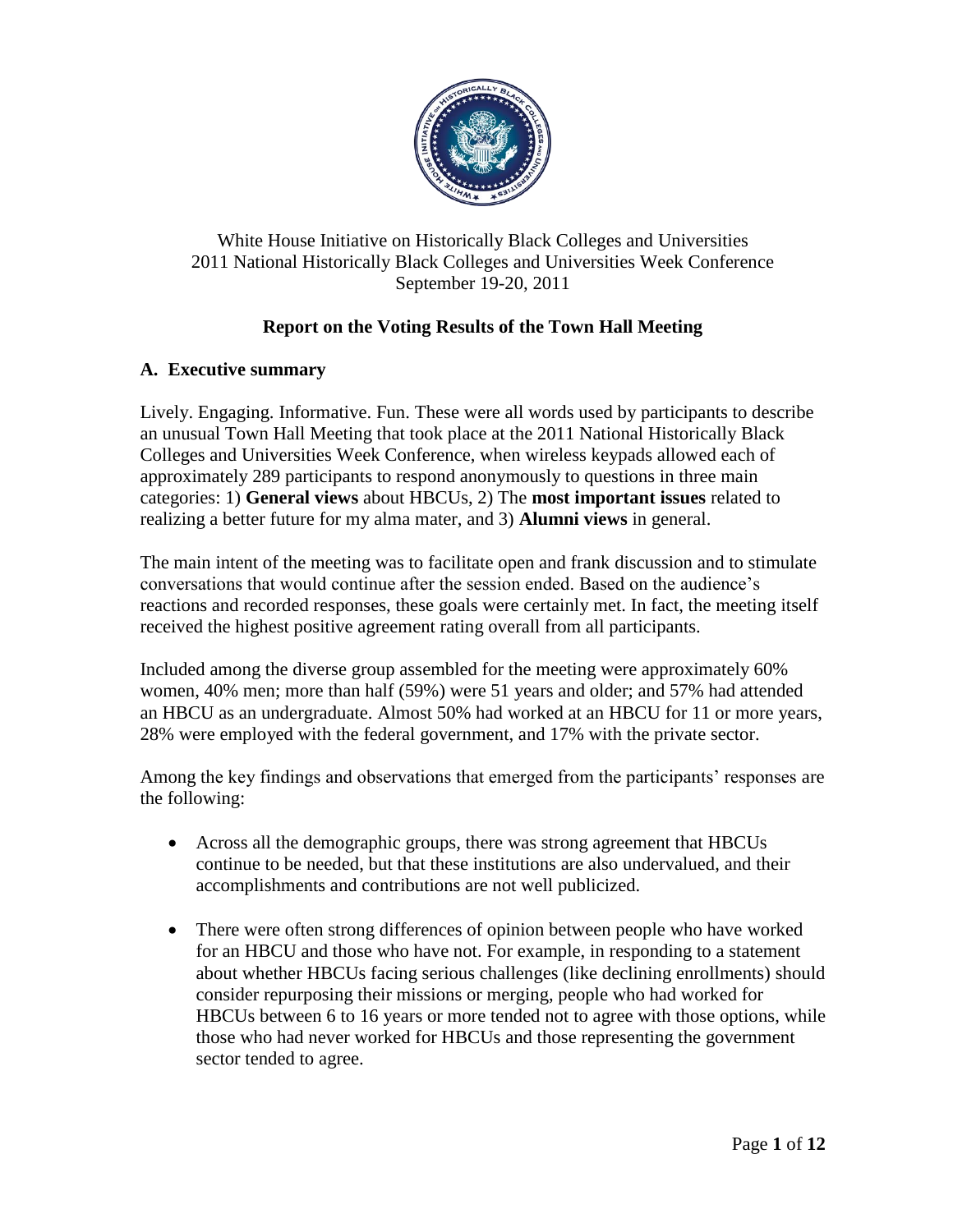

White House Initiative on Historically Black Colleges and Universities 2011 National Historically Black Colleges and Universities Week Conference September 19-20, 2011

# **Report on the Voting Results of the Town Hall Meeting**

## **A. Executive summary**

Lively. Engaging. Informative. Fun. These were all words used by participants to describe an unusual Town Hall Meeting that took place at the 2011 National Historically Black Colleges and Universities Week Conference, when wireless keypads allowed each of approximately 289 participants to respond anonymously to questions in three main categories: 1) **General views** about HBCUs, 2) The **most important issues** related to realizing a better future for my alma mater, and 3) **Alumni views** in general.

The main intent of the meeting was to facilitate open and frank discussion and to stimulate conversations that would continue after the session ended. Based on the audience's reactions and recorded responses, these goals were certainly met. In fact, the meeting itself received the highest positive agreement rating overall from all participants.

Included among the diverse group assembled for the meeting were approximately 60% women, 40% men; more than half (59%) were 51 years and older; and 57% had attended an HBCU as an undergraduate. Almost 50% had worked at an HBCU for 11 or more years, 28% were employed with the federal government, and 17% with the private sector.

Among the key findings and observations that emerged from the participants' responses are the following:

- Across all the demographic groups, there was strong agreement that HBCUs continue to be needed, but that these institutions are also undervalued, and their accomplishments and contributions are not well publicized.
- There were often strong differences of opinion between people who have worked for an HBCU and those who have not. For example, in responding to a statement about whether HBCUs facing serious challenges (like declining enrollments) should consider repurposing their missions or merging, people who had worked for HBCUs between 6 to 16 years or more tended not to agree with those options, while those who had never worked for HBCUs and those representing the government sector tended to agree.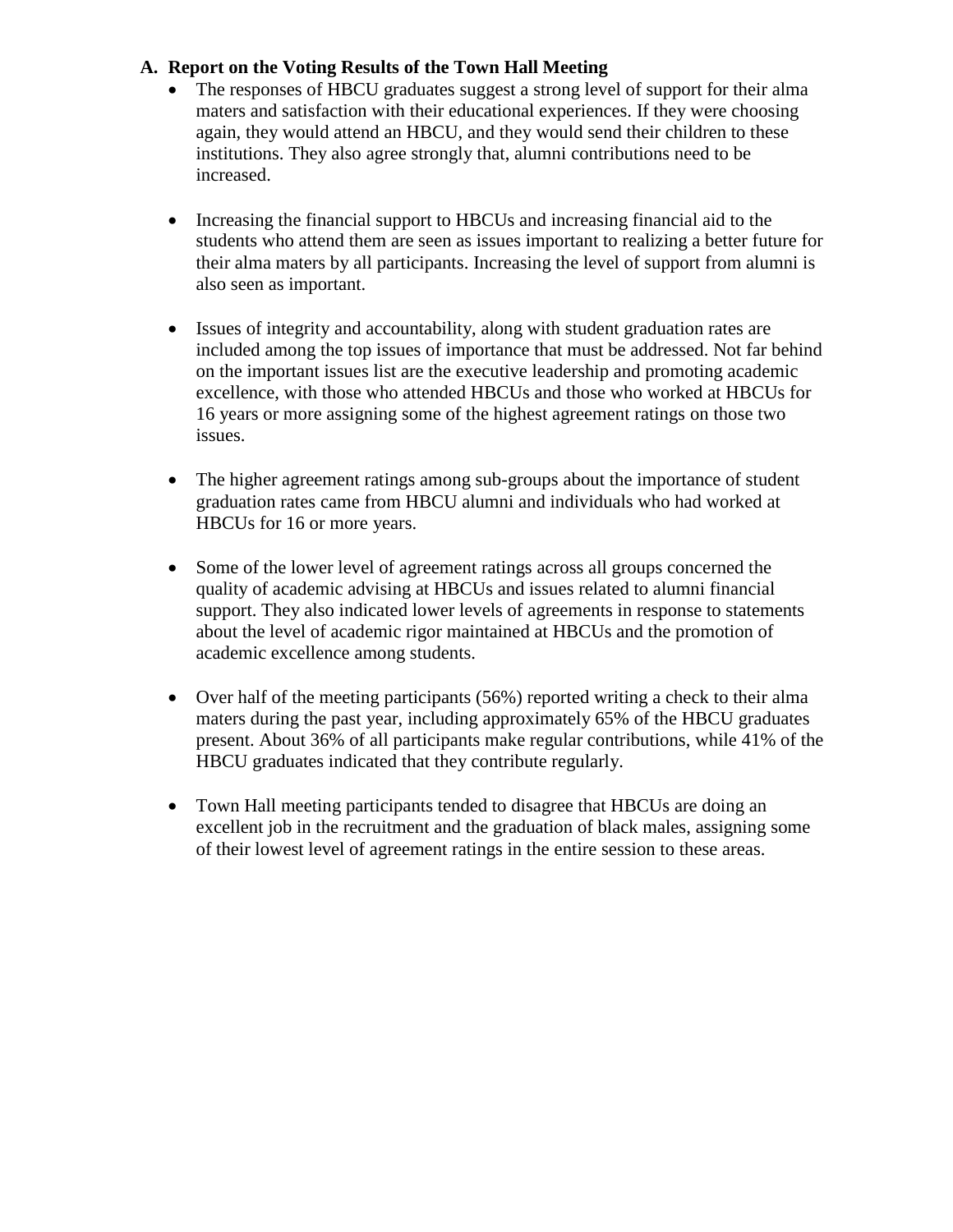- The responses of HBCU graduates suggest a strong level of support for their alma maters and satisfaction with their educational experiences. If they were choosing again, they would attend an HBCU, and they would send their children to these institutions. They also agree strongly that, alumni contributions need to be increased.
- Increasing the financial support to HBCUs and increasing financial aid to the students who attend them are seen as issues important to realizing a better future for their alma maters by all participants. Increasing the level of support from alumni is also seen as important.
- Issues of integrity and accountability, along with student graduation rates are included among the top issues of importance that must be addressed. Not far behind on the important issues list are the executive leadership and promoting academic excellence, with those who attended HBCUs and those who worked at HBCUs for 16 years or more assigning some of the highest agreement ratings on those two issues.
- The higher agreement ratings among sub-groups about the importance of student graduation rates came from HBCU alumni and individuals who had worked at HBCUs for 16 or more years.
- Some of the lower level of agreement ratings across all groups concerned the quality of academic advising at HBCUs and issues related to alumni financial support. They also indicated lower levels of agreements in response to statements about the level of academic rigor maintained at HBCUs and the promotion of academic excellence among students.
- $\bullet$  Over half of the meeting participants (56%) reported writing a check to their alma maters during the past year, including approximately 65% of the HBCU graduates present. About 36% of all participants make regular contributions, while 41% of the HBCU graduates indicated that they contribute regularly.
- Town Hall meeting participants tended to disagree that HBCUs are doing an excellent job in the recruitment and the graduation of black males, assigning some of their lowest level of agreement ratings in the entire session to these areas.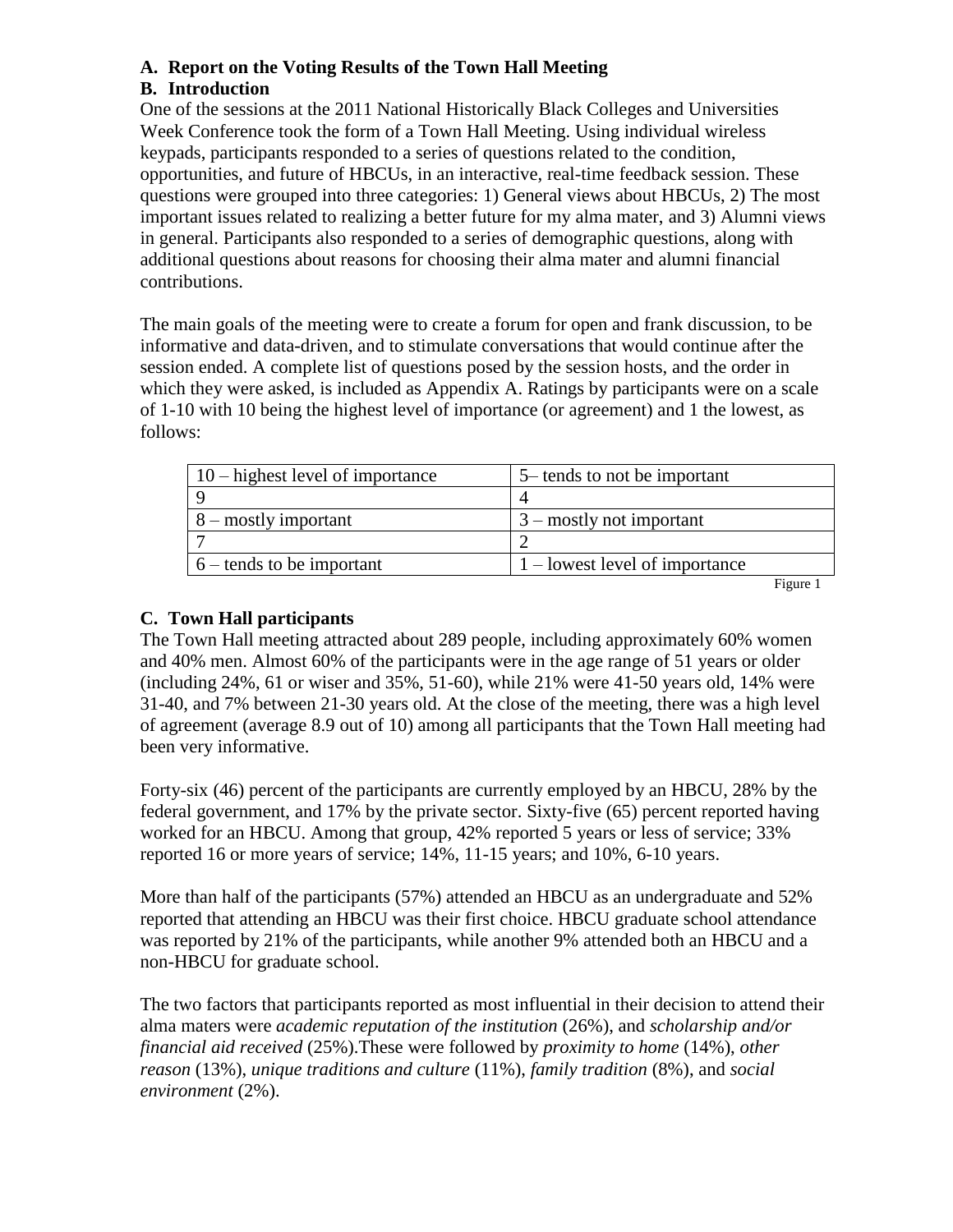## **B. Introduction**

One of the sessions at the 2011 National Historically Black Colleges and Universities Week Conference took the form of a Town Hall Meeting. Using individual wireless keypads, participants responded to a series of questions related to the condition, opportunities, and future of HBCUs, in an interactive, real-time feedback session. These questions were grouped into three categories: 1) General views about HBCUs, 2) The most important issues related to realizing a better future for my alma mater, and 3) Alumni views in general. Participants also responded to a series of demographic questions, along with additional questions about reasons for choosing their alma mater and alumni financial contributions.

The main goals of the meeting were to create a forum for open and frank discussion, to be informative and data-driven, and to stimulate conversations that would continue after the session ended. A complete list of questions posed by the session hosts, and the order in which they were asked, is included as Appendix A. Ratings by participants were on a scale of 1-10 with 10 being the highest level of importance (or agreement) and 1 the lowest, as follows:

| $10$ – highest level of importance | 5– tends to not be important     |
|------------------------------------|----------------------------------|
|                                    |                                  |
| $8 -$ mostly important             | $3$ – mostly not important       |
|                                    |                                  |
| $6$ – tends to be important        | $1$ – lowest level of importance |
|                                    | <b>Figure</b>                    |

# **C. Town Hall participants**

The Town Hall meeting attracted about 289 people, including approximately 60% women and 40% men. Almost 60% of the participants were in the age range of 51 years or older (including 24%, 61 or wiser and 35%, 51-60), while 21% were 41-50 years old, 14% were 31-40, and 7% between 21-30 years old. At the close of the meeting, there was a high level of agreement (average 8.9 out of 10) among all participants that the Town Hall meeting had been very informative.

Forty-six (46) percent of the participants are currently employed by an HBCU, 28% by the federal government, and 17% by the private sector. Sixty-five (65) percent reported having worked for an HBCU. Among that group, 42% reported 5 years or less of service; 33% reported 16 or more years of service; 14%, 11-15 years; and 10%, 6-10 years.

More than half of the participants (57%) attended an HBCU as an undergraduate and 52% reported that attending an HBCU was their first choice. HBCU graduate school attendance was reported by 21% of the participants, while another 9% attended both an HBCU and a non-HBCU for graduate school.

The two factors that participants reported as most influential in their decision to attend their alma maters were *academic reputation of the institution* (26%), and *scholarship and/or financial aid received* (25%).These were followed by *proximity to home* (14%), *other reason* (13%), *unique traditions and culture* (11%), *family tradition* (8%), and *social environment* (2%).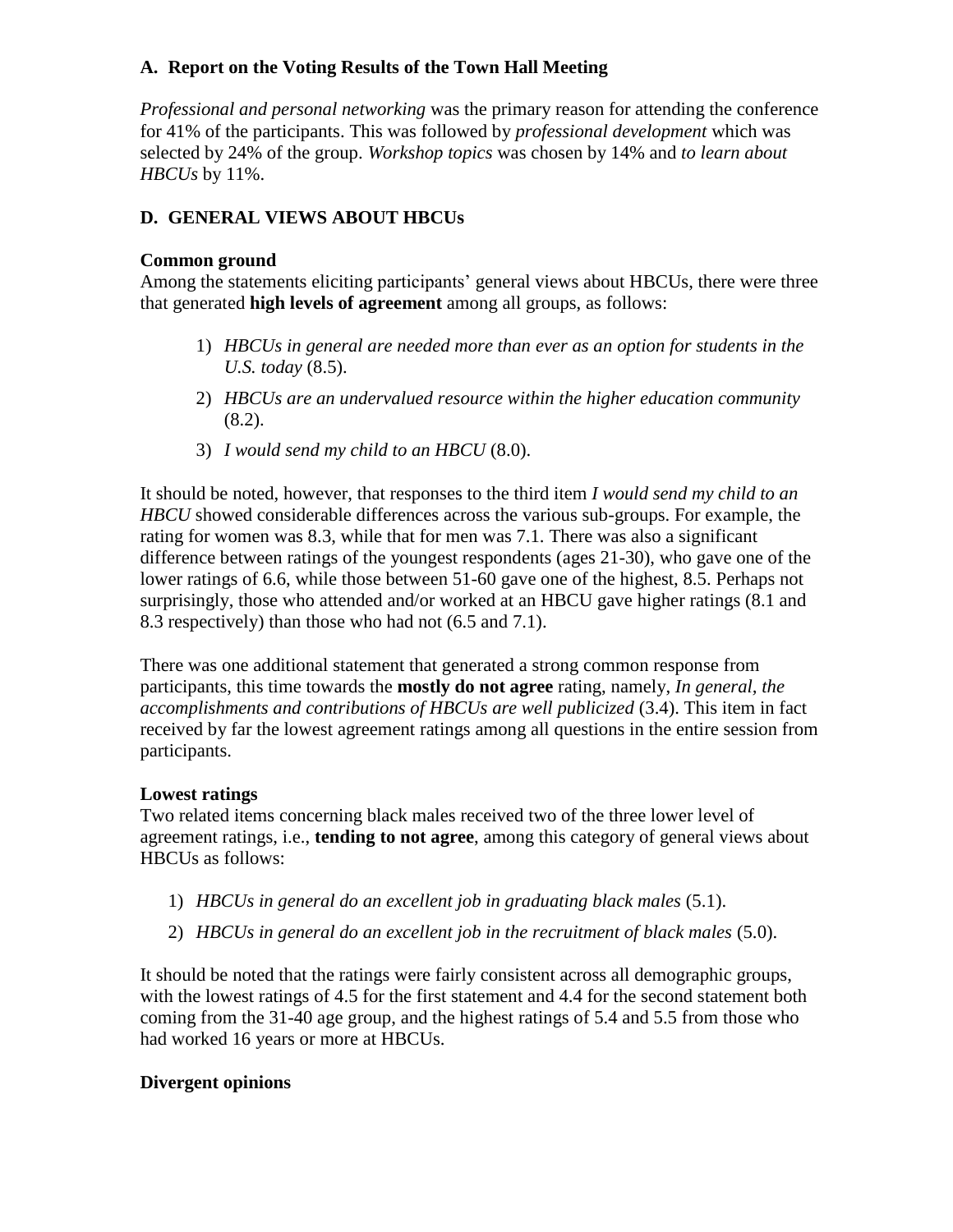*Professional and personal networking* was the primary reason for attending the conference for 41% of the participants. This was followed by *professional development* which was selected by 24% of the group. *Workshop topics* was chosen by 14% and *to learn about HBCUs* by 11%.

# **D. GENERAL VIEWS ABOUT HBCUs**

#### **Common ground**

Among the statements eliciting participants' general views about HBCUs, there were three that generated **high levels of agreement** among all groups, as follows:

- 1) *HBCUs in general are needed more than ever as an option for students in the U.S. today* (8.5).
- 2) *HBCUs are an undervalued resource within the higher education community* (8.2).
- 3) *I would send my child to an HBCU* (8.0).

It should be noted, however, that responses to the third item *I would send my child to an HBCU* showed considerable differences across the various sub-groups. For example, the rating for women was 8.3, while that for men was 7.1. There was also a significant difference between ratings of the youngest respondents (ages 21-30), who gave one of the lower ratings of 6.6, while those between 51-60 gave one of the highest, 8.5. Perhaps not surprisingly, those who attended and/or worked at an HBCU gave higher ratings (8.1 and 8.3 respectively) than those who had not (6.5 and 7.1).

There was one additional statement that generated a strong common response from participants, this time towards the **mostly do not agree** rating, namely, *In general, the accomplishments and contributions of HBCUs are well publicized* (3.4). This item in fact received by far the lowest agreement ratings among all questions in the entire session from participants.

## **Lowest ratings**

Two related items concerning black males received two of the three lower level of agreement ratings, i.e., **tending to not agree**, among this category of general views about HBCUs as follows:

- 1) *HBCUs in general do an excellent job in graduating black males* (5.1).
- 2) *HBCUs in general do an excellent job in the recruitment of black males* (5.0).

It should be noted that the ratings were fairly consistent across all demographic groups, with the lowest ratings of 4.5 for the first statement and 4.4 for the second statement both coming from the 31-40 age group, and the highest ratings of 5.4 and 5.5 from those who had worked 16 years or more at HBCUs.

## **Divergent opinions**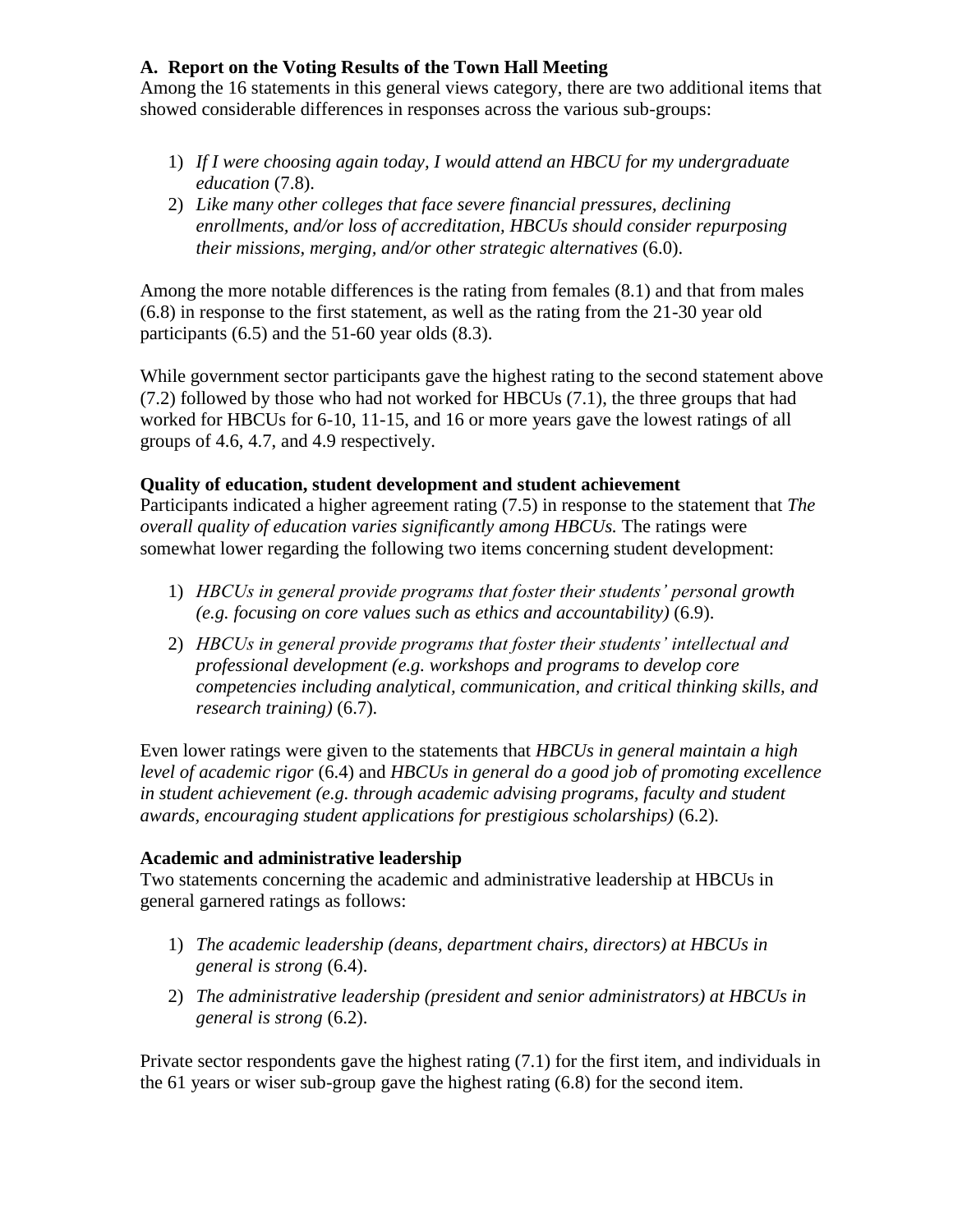Among the 16 statements in this general views category, there are two additional items that showed considerable differences in responses across the various sub-groups:

- 1) *If I were choosing again today, I would attend an HBCU for my undergraduate education* (7.8).
- 2) *Like many other colleges that face severe financial pressures, declining enrollments, and/or loss of accreditation, HBCUs should consider repurposing their missions, merging, and/or other strategic alternatives* (6.0).

Among the more notable differences is the rating from females (8.1) and that from males (6.8) in response to the first statement, as well as the rating from the 21-30 year old participants (6.5) and the 51-60 year olds (8.3).

While government sector participants gave the highest rating to the second statement above (7.2) followed by those who had not worked for HBCUs (7.1), the three groups that had worked for HBCUs for 6-10, 11-15, and 16 or more years gave the lowest ratings of all groups of 4.6, 4.7, and 4.9 respectively.

## **Quality of education, student development and student achievement**

Participants indicated a higher agreement rating (7.5) in response to the statement that *The overall quality of education varies significantly among HBCUs.* The ratings were somewhat lower regarding the following two items concerning student development:

- 1) *HBCUs in general provide programs that foster their students' personal growth (e.g. focusing on core values such as ethics and accountability)* (6.9).
- 2) *HBCUs in general provide programs that foster their students' intellectual and professional development (e.g. workshops and programs to develop core competencies including analytical, communication, and critical thinking skills, and research training)* (6.7).

Even lower ratings were given to the statements that *HBCUs in general maintain a high level of academic rigor* (6.4) and *HBCUs in general do a good job of promoting excellence*  in student achievement (e.g. through academic advising programs, faculty and student *awards, encouraging student applications for prestigious scholarships)* (6.2).

## **Academic and administrative leadership**

Two statements concerning the academic and administrative leadership at HBCUs in general garnered ratings as follows:

- 1) *The academic leadership (deans, department chairs, directors) at HBCUs in general is strong* (6.4).
- 2) *The administrative leadership (president and senior administrators) at HBCUs in general is strong* (6.2).

Private sector respondents gave the highest rating (7.1) for the first item, and individuals in the 61 years or wiser sub-group gave the highest rating (6.8) for the second item.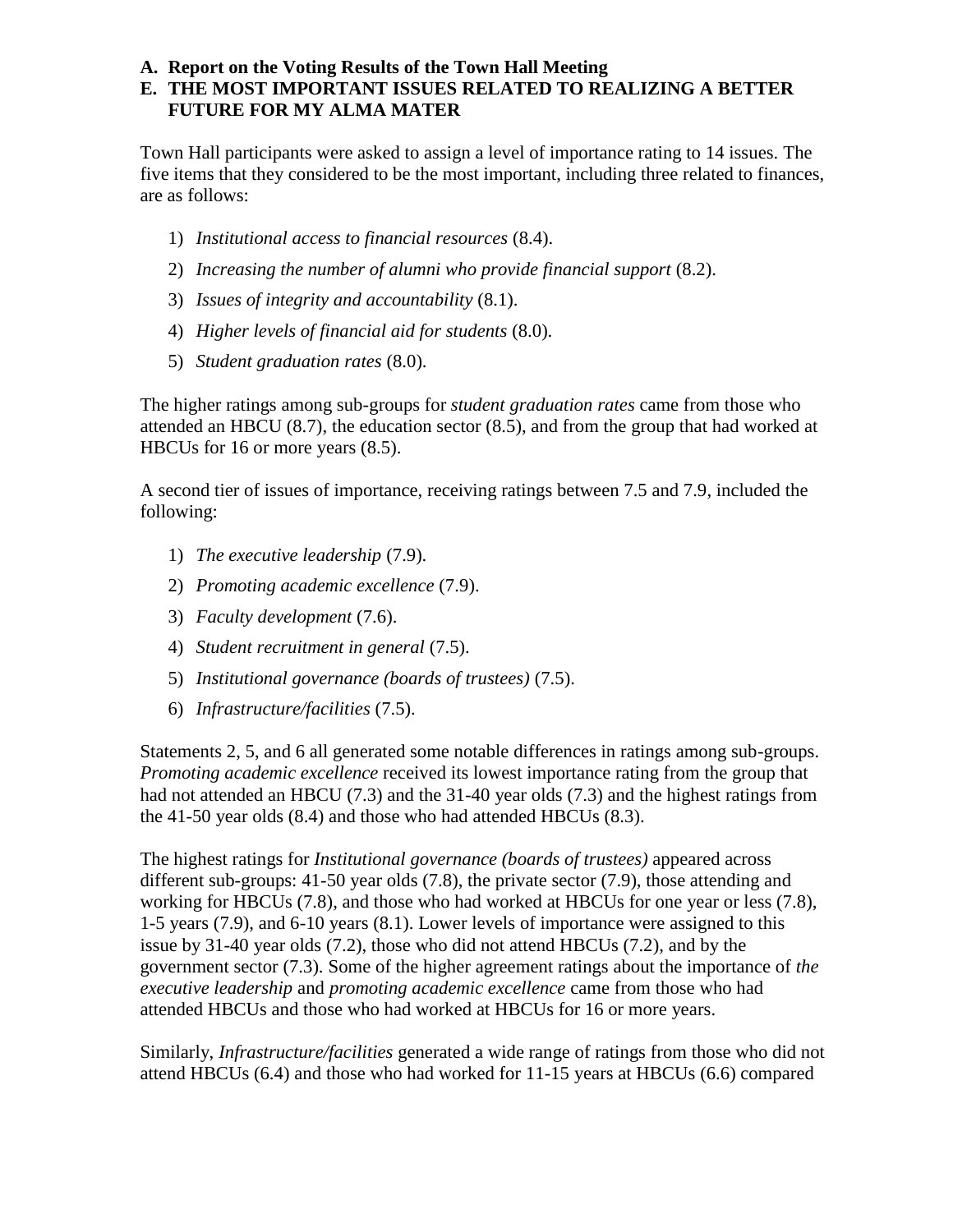## **E. THE MOST IMPORTANT ISSUES RELATED TO REALIZING A BETTER FUTURE FOR MY ALMA MATER**

Town Hall participants were asked to assign a level of importance rating to 14 issues. The five items that they considered to be the most important, including three related to finances, are as follows:

- 1) *Institutional access to financial resources* (8.4).
- 2) *Increasing the number of alumni who provide financial support* (8.2).
- 3) *Issues of integrity and accountability* (8.1).
- 4) *Higher levels of financial aid for students* (8.0).
- 5) *Student graduation rates* (8.0).

The higher ratings among sub-groups for *student graduation rates* came from those who attended an HBCU (8.7), the education sector (8.5), and from the group that had worked at HBCUs for 16 or more years (8.5).

A second tier of issues of importance, receiving ratings between 7.5 and 7.9, included the following:

- 1) *The executive leadership* (7.9).
- 2) *Promoting academic excellence* (7.9).
- 3) *Faculty development* (7.6).
- 4) *Student recruitment in general* (7.5).
- 5) *Institutional governance (boards of trustees)* (7.5).
- 6) *Infrastructure/facilities* (7.5).

Statements 2, 5, and 6 all generated some notable differences in ratings among sub-groups. *Promoting academic excellence* received its lowest importance rating from the group that had not attended an HBCU (7.3) and the 31-40 year olds (7.3) and the highest ratings from the 41-50 year olds (8.4) and those who had attended HBCUs (8.3).

The highest ratings for *Institutional governance (boards of trustees)* appeared across different sub-groups: 41-50 year olds (7.8), the private sector (7.9), those attending and working for HBCUs (7.8), and those who had worked at HBCUs for one year or less (7.8), 1-5 years (7.9), and 6-10 years (8.1). Lower levels of importance were assigned to this issue by 31-40 year olds (7.2), those who did not attend HBCUs (7.2), and by the government sector (7.3). Some of the higher agreement ratings about the importance of *the executive leadership* and *promoting academic excellence* came from those who had attended HBCUs and those who had worked at HBCUs for 16 or more years.

Similarly, *Infrastructure/facilities* generated a wide range of ratings from those who did not attend HBCUs (6.4) and those who had worked for 11-15 years at HBCUs (6.6) compared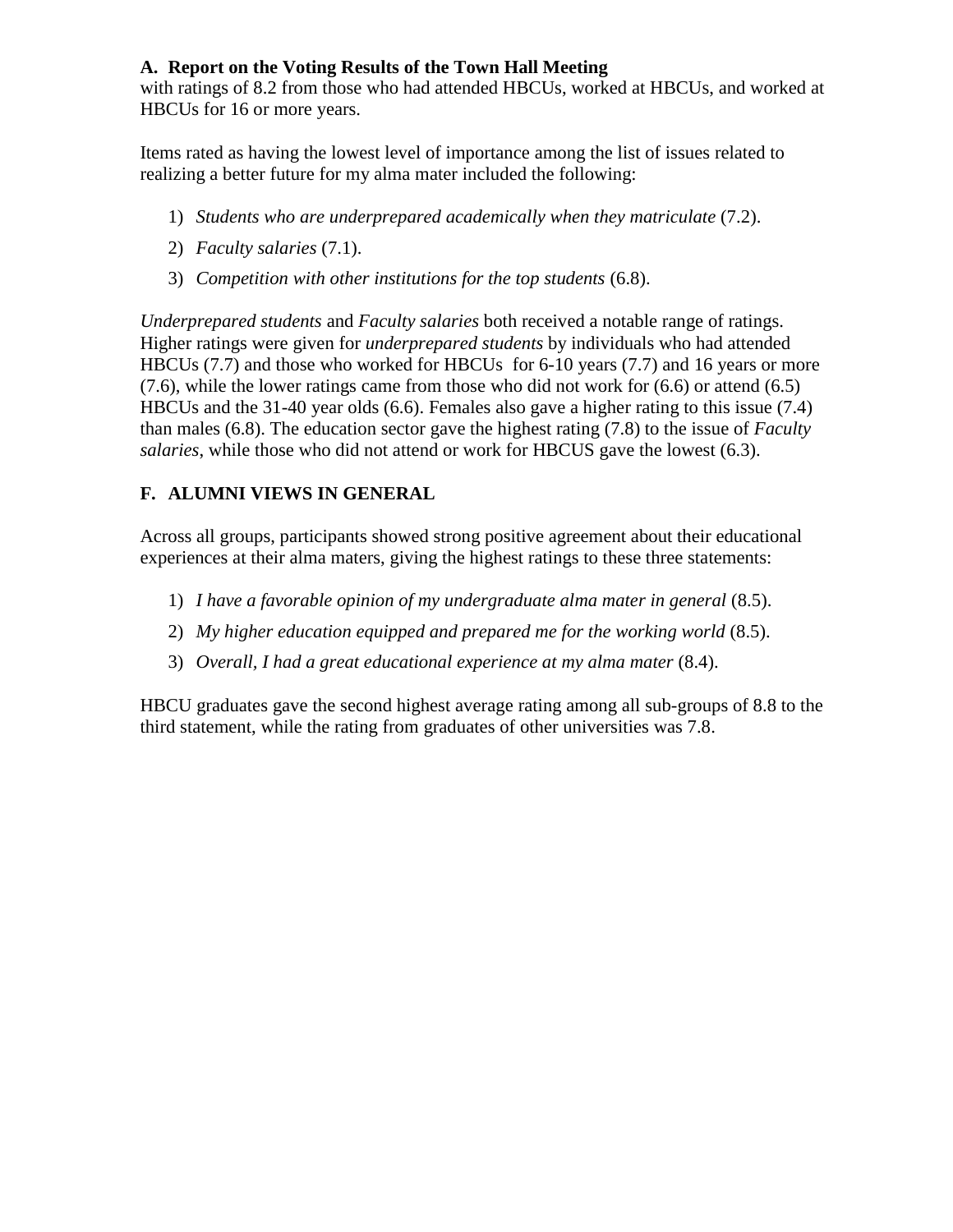with ratings of 8.2 from those who had attended HBCUs, worked at HBCUs, and worked at HBCUs for 16 or more years.

Items rated as having the lowest level of importance among the list of issues related to realizing a better future for my alma mater included the following:

- 1) *Students who are underprepared academically when they matriculate* (7.2).
- 2) *Faculty salaries* (7.1).
- 3) *Competition with other institutions for the top students* (6.8).

*Underprepared students* and *Faculty salaries* both received a notable range of ratings. Higher ratings were given for *underprepared students* by individuals who had attended HBCUs (7.7) and those who worked for HBCUs for 6-10 years (7.7) and 16 years or more  $(7.6)$ , while the lower ratings came from those who did not work for  $(6.6)$  or attend  $(6.5)$ HBCUs and the 31-40 year olds (6.6). Females also gave a higher rating to this issue (7.4) than males (6.8). The education sector gave the highest rating (7.8) to the issue of *Faculty salaries*, while those who did not attend or work for HBCUS gave the lowest (6.3).

## **F. ALUMNI VIEWS IN GENERAL**

Across all groups, participants showed strong positive agreement about their educational experiences at their alma maters, giving the highest ratings to these three statements:

- 1) *I have a favorable opinion of my undergraduate alma mater in general* (8.5).
- 2) *My higher education equipped and prepared me for the working world* (8.5).
- 3) *Overall, I had a great educational experience at my alma mater* (8.4).

HBCU graduates gave the second highest average rating among all sub-groups of 8.8 to the third statement, while the rating from graduates of other universities was 7.8.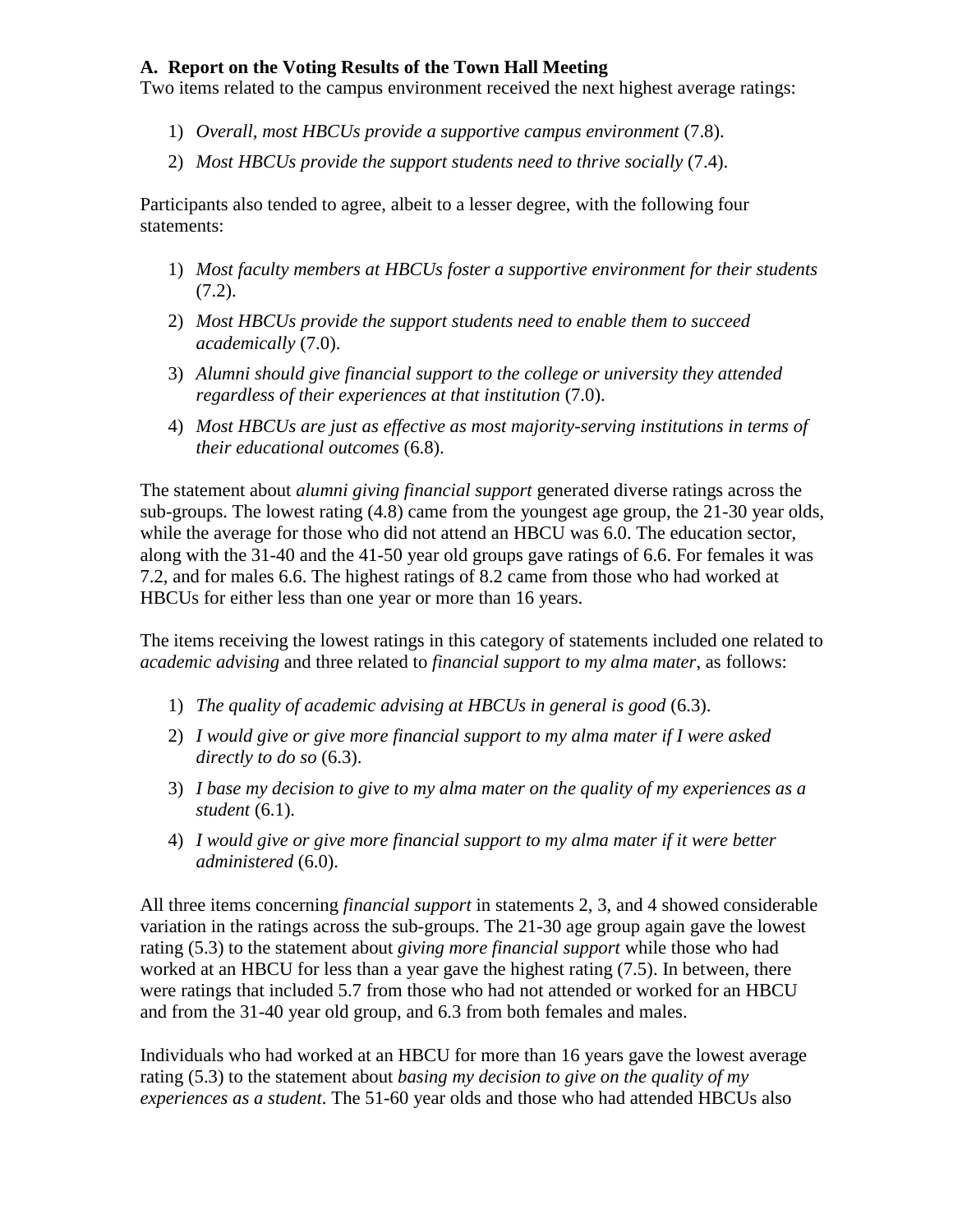Two items related to the campus environment received the next highest average ratings:

- 1) *Overall, most HBCUs provide a supportive campus environment* (7.8).
- 2) *Most HBCUs provide the support students need to thrive socially* (7.4).

Participants also tended to agree, albeit to a lesser degree, with the following four statements:

- 1) *Most faculty members at HBCUs foster a supportive environment for their students*   $(7.2)$ .
- 2) *Most HBCUs provide the support students need to enable them to succeed academically* (7.0).
- 3) *Alumni should give financial support to the college or university they attended regardless of their experiences at that institution* (7.0).
- 4) *Most HBCUs are just as effective as most majority-serving institutions in terms of their educational outcomes* (6.8).

The statement about *alumni giving financial support* generated diverse ratings across the sub-groups. The lowest rating (4.8) came from the youngest age group, the 21-30 year olds, while the average for those who did not attend an HBCU was 6.0. The education sector, along with the 31-40 and the 41-50 year old groups gave ratings of 6.6. For females it was 7.2, and for males 6.6. The highest ratings of 8.2 came from those who had worked at HBCUs for either less than one year or more than 16 years.

The items receiving the lowest ratings in this category of statements included one related to *academic advising* and three related to *financial support to my alma mater*, as follows:

- 1) *The quality of academic advising at HBCUs in general is good* (6.3).
- 2) *I would give or give more financial support to my alma mater if I were asked directly to do so* (6.3).
- 3) *I base my decision to give to my alma mater on the quality of my experiences as a student* (6.1).
- 4) *I would give or give more financial support to my alma mater if it were better administered* (6.0).

All three items concerning *financial support* in statements 2, 3, and 4 showed considerable variation in the ratings across the sub-groups. The 21-30 age group again gave the lowest rating (5.3) to the statement about *giving more financial support* while those who had worked at an HBCU for less than a year gave the highest rating (7.5). In between, there were ratings that included 5.7 from those who had not attended or worked for an HBCU and from the 31-40 year old group, and 6.3 from both females and males.

Individuals who had worked at an HBCU for more than 16 years gave the lowest average rating (5.3) to the statement about *basing my decision to give on the quality of my experiences as a student*. The 51-60 year olds and those who had attended HBCUs also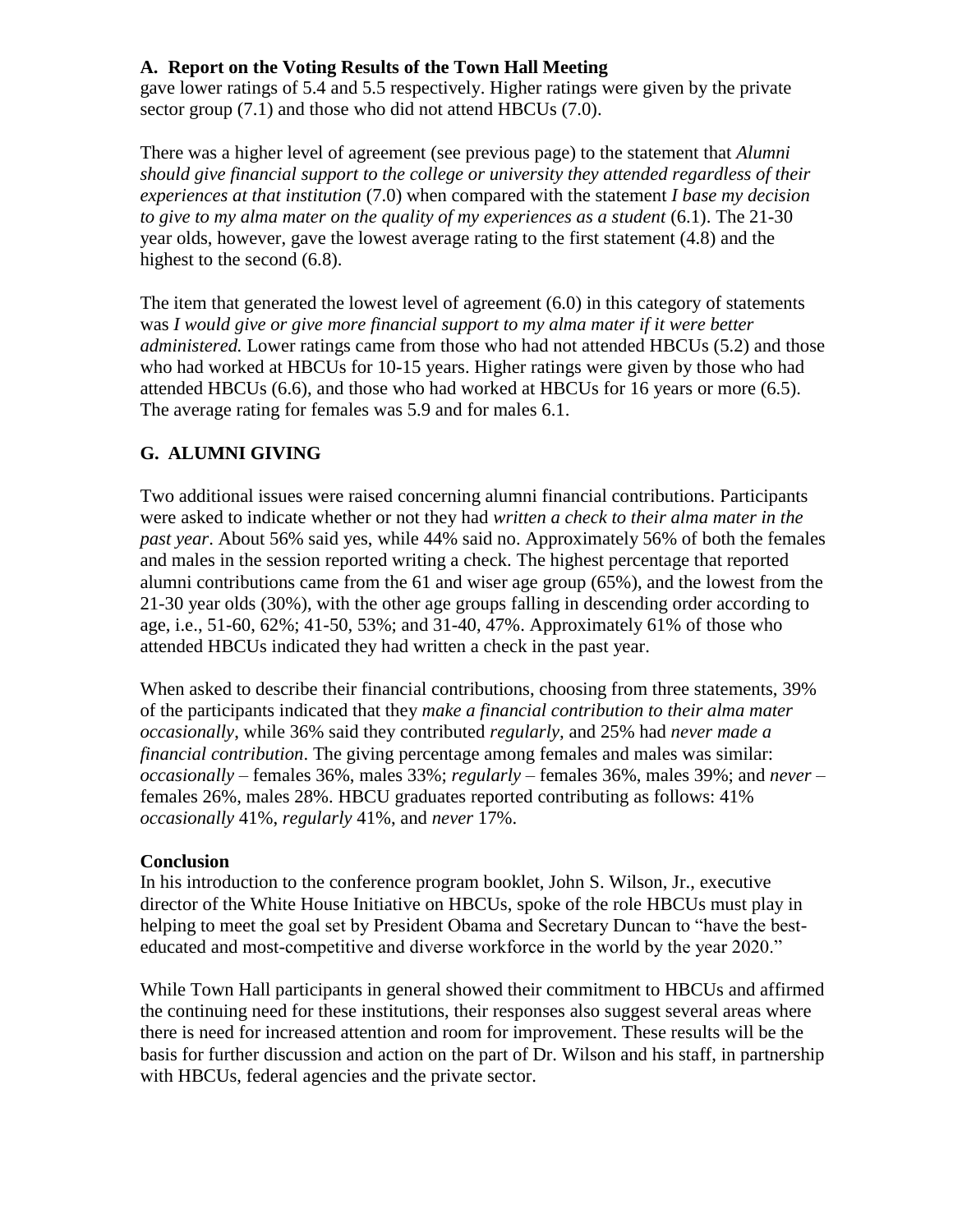gave lower ratings of 5.4 and 5.5 respectively. Higher ratings were given by the private sector group (7.1) and those who did not attend HBCUs (7.0).

There was a higher level of agreement (see previous page) to the statement that *Alumni should give financial support to the college or university they attended regardless of their experiences at that institution* (7.0) when compared with the statement *I base my decision to give to my alma mater on the quality of my experiences as a student* (6.1). The 21-30 year olds, however, gave the lowest average rating to the first statement (4.8) and the highest to the second (6.8).

The item that generated the lowest level of agreement (6.0) in this category of statements was *I would give or give more financial support to my alma mater if it were better administered.* Lower ratings came from those who had not attended HBCUs (5.2) and those who had worked at HBCUs for 10-15 years. Higher ratings were given by those who had attended HBCUs (6.6), and those who had worked at HBCUs for 16 years or more (6.5). The average rating for females was 5.9 and for males 6.1.

# **G. ALUMNI GIVING**

Two additional issues were raised concerning alumni financial contributions. Participants were asked to indicate whether or not they had *written a check to their alma mater in the past year*. About 56% said yes, while 44% said no. Approximately 56% of both the females and males in the session reported writing a check. The highest percentage that reported alumni contributions came from the 61 and wiser age group (65%), and the lowest from the 21-30 year olds (30%), with the other age groups falling in descending order according to age, i.e., 51-60, 62%; 41-50, 53%; and 31-40, 47%. Approximately 61% of those who attended HBCUs indicated they had written a check in the past year.

When asked to describe their financial contributions, choosing from three statements, 39% of the participants indicated that they *make a financial contribution to their alma mater occasionally*, while 36% said they contributed *regularly,* and 25% had *never made a financial contribution*. The giving percentage among females and males was similar: *occasionally* – females 36%, males 33%; *regularly* – females 36%, males 39%; and *never* – females 26%, males 28%. HBCU graduates reported contributing as follows: 41% *occasionally* 41%, *regularly* 41%, and *never* 17%.

## **Conclusion**

In his introduction to the conference program booklet, John S. Wilson, Jr., executive director of the White House Initiative on HBCUs, spoke of the role HBCUs must play in helping to meet the goal set by President Obama and Secretary Duncan to "have the besteducated and most-competitive and diverse workforce in the world by the year 2020."

While Town Hall participants in general showed their commitment to HBCUs and affirmed the continuing need for these institutions, their responses also suggest several areas where there is need for increased attention and room for improvement. These results will be the basis for further discussion and action on the part of Dr. Wilson and his staff, in partnership with HBCUs, federal agencies and the private sector.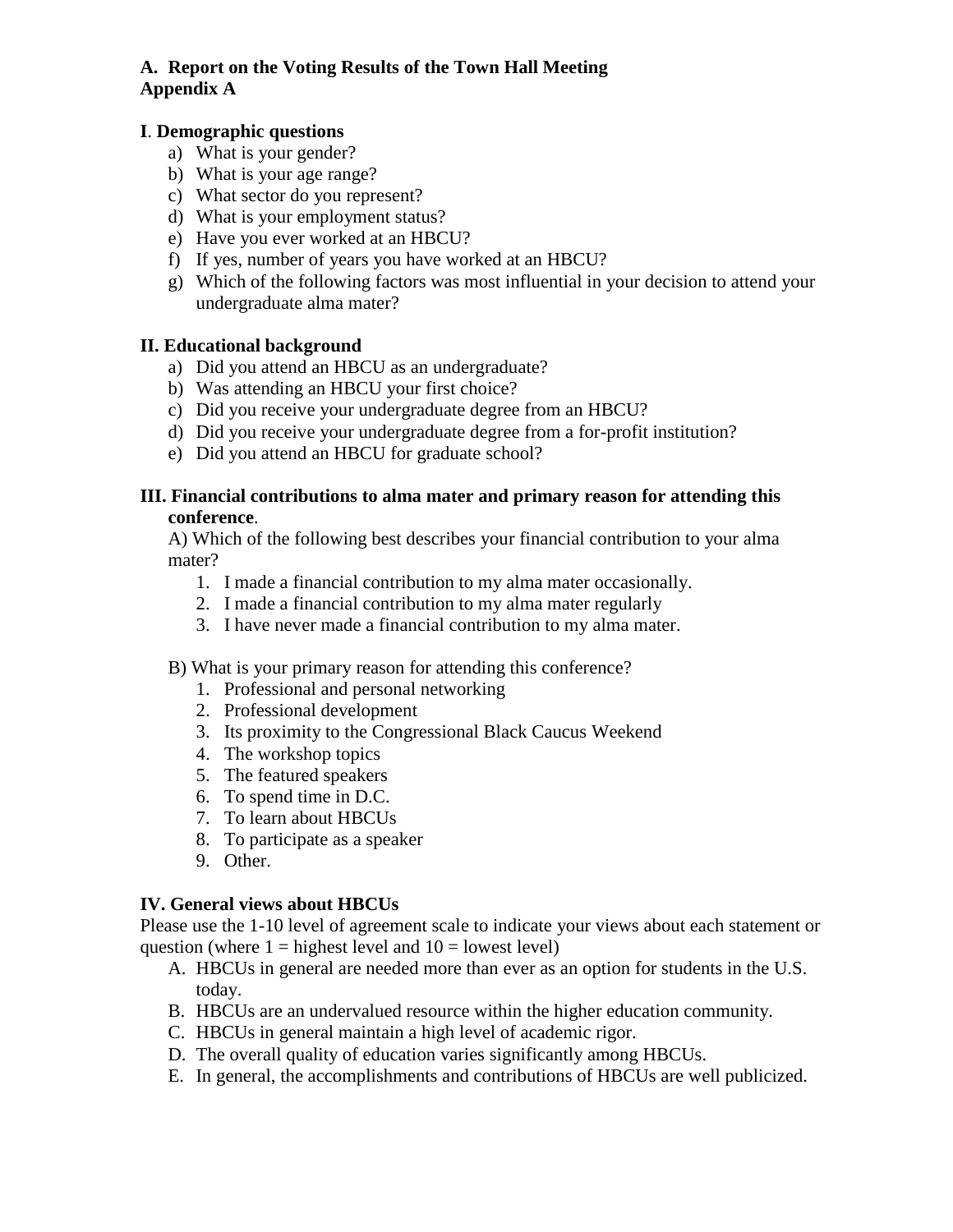#### **I**. **Demographic questions**

- a) What is your gender?
- b) What is your age range?
- c) What sector do you represent?
- d) What is your employment status?
- e) Have you ever worked at an HBCU?
- f) If yes, number of years you have worked at an HBCU?
- g) Which of the following factors was most influential in your decision to attend your undergraduate alma mater?

#### **II. Educational background**

- a) Did you attend an HBCU as an undergraduate?
- b) Was attending an HBCU your first choice?
- c) Did you receive your undergraduate degree from an HBCU?
- d) Did you receive your undergraduate degree from a for-profit institution?
- e) Did you attend an HBCU for graduate school?

#### **III. Financial contributions to alma mater and primary reason for attending this conference**.

A) Which of the following best describes your financial contribution to your alma mater?

- 1. I made a financial contribution to my alma mater occasionally.
- 2. I made a financial contribution to my alma mater regularly
- 3. I have never made a financial contribution to my alma mater.

#### B) What is your primary reason for attending this conference?

- 1. Professional and personal networking
- 2. Professional development
- 3. Its proximity to the Congressional Black Caucus Weekend
- 4. The workshop topics
- 5. The featured speakers
- 6. To spend time in D.C.
- 7. To learn about HBCUs
- 8. To participate as a speaker
- 9. Other.

## **IV. General views about HBCUs**

Please use the 1-10 level of agreement scale to indicate your views about each statement or question (where  $1 =$  highest level and  $10 =$  lowest level)

- A. HBCUs in general are needed more than ever as an option for students in the U.S. today.
- B. HBCUs are an undervalued resource within the higher education community.
- C. HBCUs in general maintain a high level of academic rigor.
- D. The overall quality of education varies significantly among HBCUs.
- E. In general, the accomplishments and contributions of HBCUs are well publicized.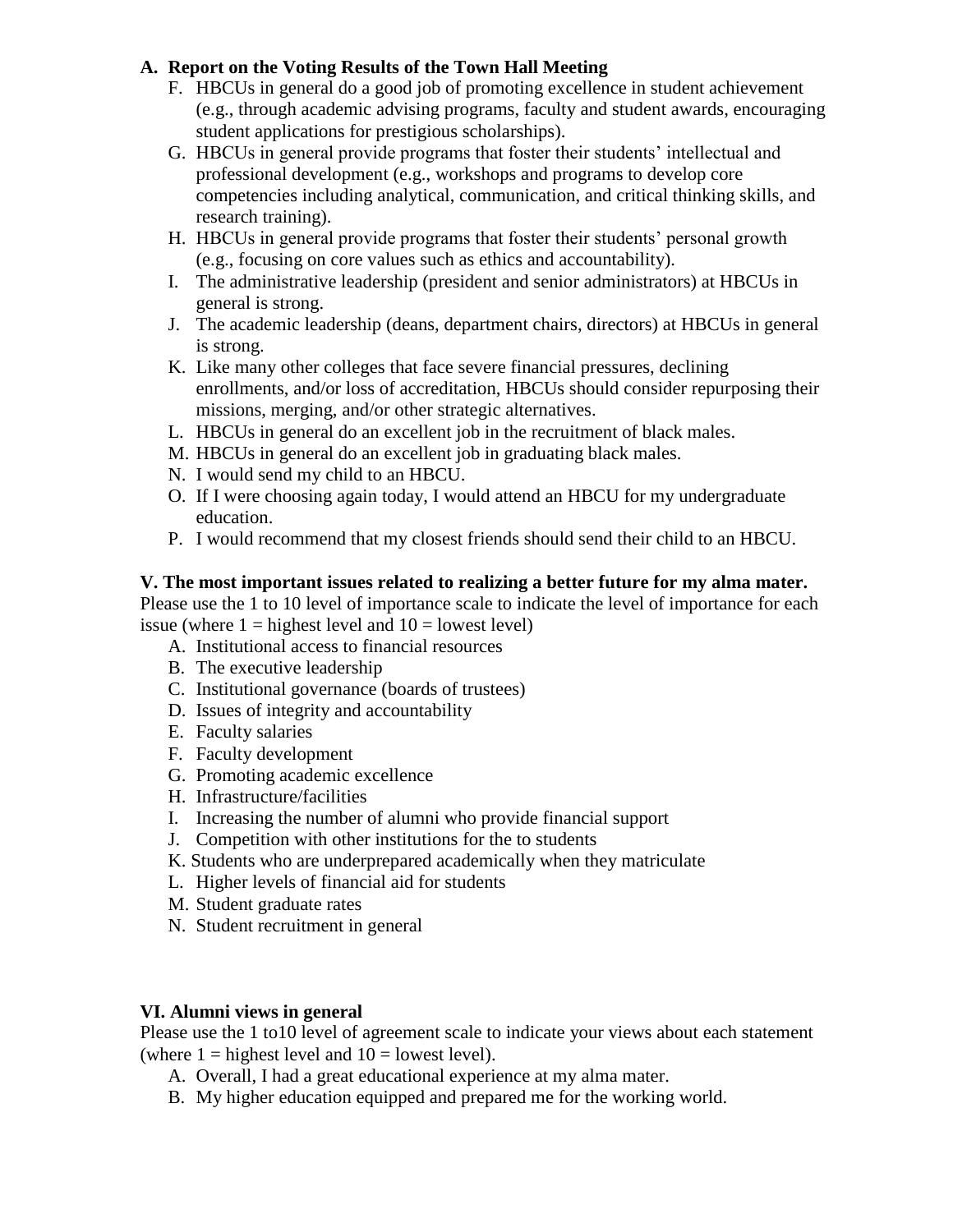- F. HBCUs in general do a good job of promoting excellence in student achievement (e.g., through academic advising programs, faculty and student awards, encouraging student applications for prestigious scholarships).
- G. HBCUs in general provide programs that foster their students' intellectual and professional development (e.g., workshops and programs to develop core competencies including analytical, communication, and critical thinking skills, and research training).
- H. HBCUs in general provide programs that foster their students' personal growth (e.g., focusing on core values such as ethics and accountability).
- I. The administrative leadership (president and senior administrators) at HBCUs in general is strong.
- J. The academic leadership (deans, department chairs, directors) at HBCUs in general is strong.
- K. Like many other colleges that face severe financial pressures, declining enrollments, and/or loss of accreditation, HBCUs should consider repurposing their missions, merging, and/or other strategic alternatives.
- L. HBCUs in general do an excellent job in the recruitment of black males.
- M. HBCUs in general do an excellent job in graduating black males.
- N. I would send my child to an HBCU.
- O. If I were choosing again today, I would attend an HBCU for my undergraduate education.
- P. I would recommend that my closest friends should send their child to an HBCU.

## **V. The most important issues related to realizing a better future for my alma mater.**

Please use the 1 to 10 level of importance scale to indicate the level of importance for each issue (where  $1 =$  highest level and  $10 =$  lowest level)

- A. Institutional access to financial resources
- B. The executive leadership
- C. Institutional governance (boards of trustees)
- D. Issues of integrity and accountability
- E. Faculty salaries
- F. Faculty development
- G. Promoting academic excellence
- H. Infrastructure/facilities
- I. Increasing the number of alumni who provide financial support
- J. Competition with other institutions for the to students
- K. Students who are underprepared academically when they matriculate
- L. Higher levels of financial aid for students
- M. Student graduate rates
- N. Student recruitment in general

## **VI. Alumni views in general**

Please use the 1 to10 level of agreement scale to indicate your views about each statement (where  $1 =$  highest level and  $10 =$  lowest level).

- A. Overall, I had a great educational experience at my alma mater.
- B. My higher education equipped and prepared me for the working world.